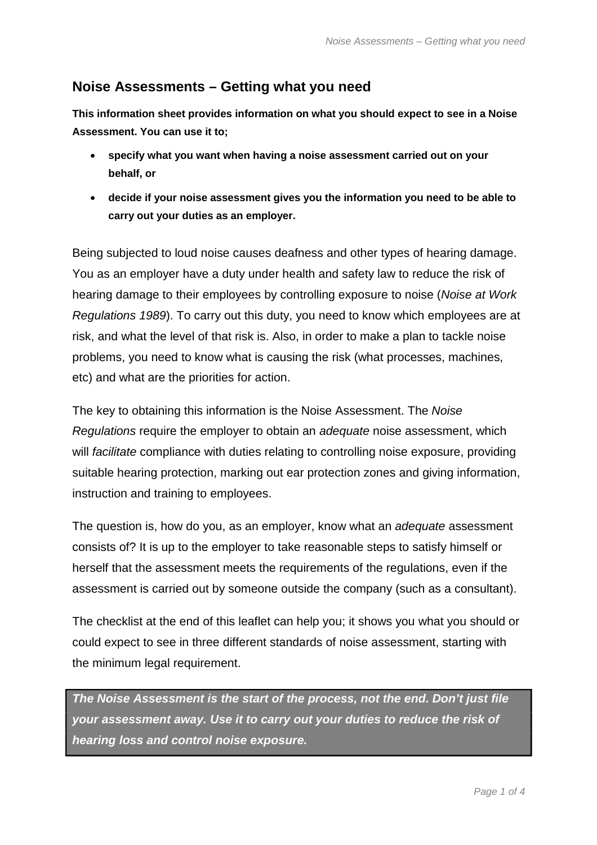## **Noise Assessments – Getting what you need**

**This information sheet provides information on what you should expect to see in a Noise Assessment. You can use it to;** 

- •= **specify what you want when having a noise assessment carried out on your behalf, or**
- •= **decide if your noise assessment gives you the information you need to be able to carry out your duties as an employer.**

Being subjected to loud noise causes deafness and other types of hearing damage. You as an employer have a duty under health and safety law to reduce the risk of hearing damage to their employees by controlling exposure to noise (*Noise at Work Regulations 1989*). To carry out this duty, you need to know which employees are at risk, and what the level of that risk is. Also, in order to make a plan to tackle noise problems, you need to know what is causing the risk (what processes, machines, etc) and what are the priorities for action.

The key to obtaining this information is the Noise Assessment. The *Noise Regulations* require the employer to obtain an *adequate* noise assessment, which will *facilitate* compliance with duties relating to controlling noise exposure, providing suitable hearing protection, marking out ear protection zones and giving information, instruction and training to employees.

The question is, how do you, as an employer, know what an *adequate* assessment consists of? It is up to the employer to take reasonable steps to satisfy himself or herself that the assessment meets the requirements of the regulations, even if the assessment is carried out by someone outside the company (such as a consultant).

The checklist at the end of this leaflet can help you; it shows you what you should or could expect to see in three different standards of noise assessment, starting with the minimum legal requirement.

*The Noise Assessment is the start of the process, not the end. Don't just file your assessment away. Use it to carry out your duties to reduce the risk of hearing loss and control noise exposure.*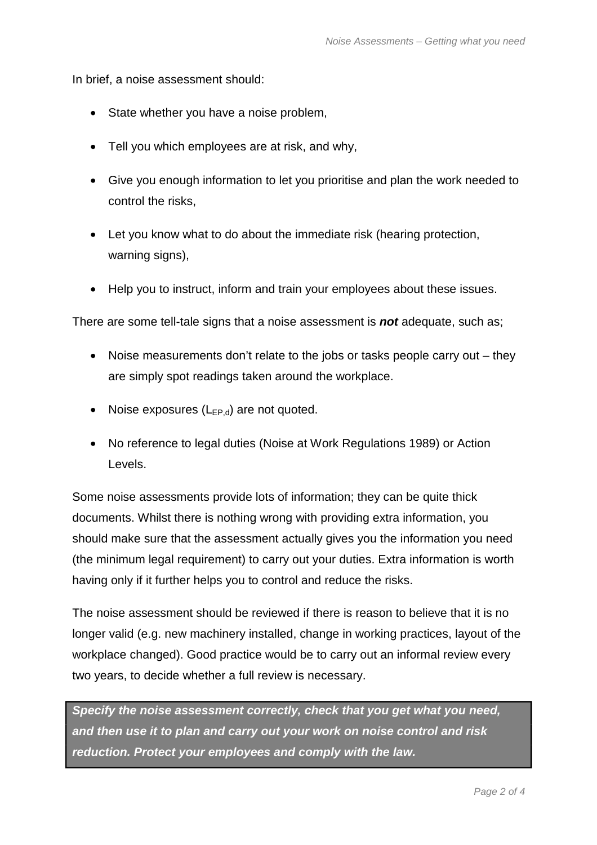In brief, a noise assessment should:

- State whether you have a noise problem,
- Tell you which employees are at risk, and why,
- Give you enough information to let you prioritise and plan the work needed to control the risks,
- Let you know what to do about the immediate risk (hearing protection, warning signs),
- Help you to instruct, inform and train your employees about these issues.

There are some tell-tale signs that a noise assessment is *not* adequate, such as;

- Noise measurements don't relate to the jobs or tasks people carry out  $-$  they are simply spot readings taken around the workplace.
- Noise exposures  $(L_{FP,d})$  are not quoted.
- No reference to legal duties (Noise at Work Regulations 1989) or Action Levels.

Some noise assessments provide lots of information; they can be quite thick documents. Whilst there is nothing wrong with providing extra information, you should make sure that the assessment actually gives you the information you need (the minimum legal requirement) to carry out your duties. Extra information is worth having only if it further helps you to control and reduce the risks.

The noise assessment should be reviewed if there is reason to believe that it is no longer valid (e.g. new machinery installed, change in working practices, layout of the workplace changed). Good practice would be to carry out an informal review every two years, to decide whether a full review is necessary.

*Specify the noise assessment correctly, check that you get what you need, and then use it to plan and carry out your work on noise control and risk reduction. Protect your employees and comply with the law.*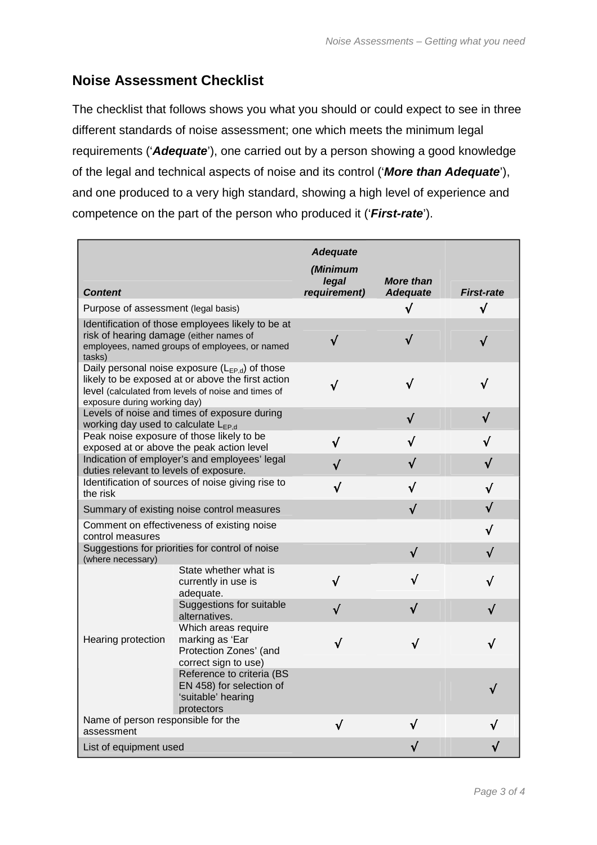## **Noise Assessment Checklist**

The checklist that follows shows you what you should or could expect to see in three different standards of noise assessment; one which meets the minimum legal requirements ('*Adequate*'), one carried out by a person showing a good knowledge of the legal and technical aspects of noise and its control ('*More than Adequate*'), and one produced to a very high standard, showing a high level of experience and competence on the part of the person who produced it ('*First-rate*').

| <b>Content</b>                                                                                                                                                                                  |                                                                                           | <b>Adequate</b><br>(Minimum<br>legal<br>requirement) | <b>More than</b><br><b>Adequate</b> | <b>First-rate</b> |
|-------------------------------------------------------------------------------------------------------------------------------------------------------------------------------------------------|-------------------------------------------------------------------------------------------|------------------------------------------------------|-------------------------------------|-------------------|
| Purpose of assessment (legal basis)                                                                                                                                                             |                                                                                           |                                                      | √                                   | $\sqrt{}$         |
| Identification of those employees likely to be at<br>risk of hearing damage (either names of<br>employees, named groups of employees, or named<br>tasks)                                        |                                                                                           | $\sqrt{}$                                            |                                     |                   |
| Daily personal noise exposure $(L_{EP,d})$ of those<br>likely to be exposed at or above the first action<br>level (calculated from levels of noise and times of<br>exposure during working day) |                                                                                           | √                                                    |                                     |                   |
| Levels of noise and times of exposure during<br>working day used to calculate L <sub>EP.d</sub>                                                                                                 |                                                                                           |                                                      | √                                   |                   |
| Peak noise exposure of those likely to be<br>exposed at or above the peak action level                                                                                                          |                                                                                           |                                                      |                                     |                   |
| Indication of employer's and employees' legal<br>duties relevant to levels of exposure.                                                                                                         |                                                                                           |                                                      |                                     |                   |
| Identification of sources of noise giving rise to<br>the risk                                                                                                                                   |                                                                                           |                                                      |                                     |                   |
| Summary of existing noise control measures                                                                                                                                                      |                                                                                           |                                                      | √                                   |                   |
| Comment on effectiveness of existing noise<br>control measures                                                                                                                                  |                                                                                           |                                                      |                                     |                   |
| Suggestions for priorities for control of noise<br>(where necessary)                                                                                                                            |                                                                                           |                                                      | √                                   |                   |
| Hearing protection                                                                                                                                                                              | State whether what is<br>currently in use is<br>adequate.                                 |                                                      |                                     |                   |
|                                                                                                                                                                                                 | Suggestions for suitable<br>alternatives.                                                 |                                                      |                                     |                   |
|                                                                                                                                                                                                 | Which areas require<br>marking as 'Ear<br>Protection Zones' (and<br>correct sign to use)  |                                                      |                                     |                   |
|                                                                                                                                                                                                 | Reference to criteria (BS<br>EN 458) for selection of<br>'suitable' hearing<br>protectors |                                                      |                                     |                   |
| Name of person responsible for the<br>assessment                                                                                                                                                |                                                                                           | √                                                    | J                                   |                   |
| List of equipment used                                                                                                                                                                          |                                                                                           |                                                      |                                     |                   |